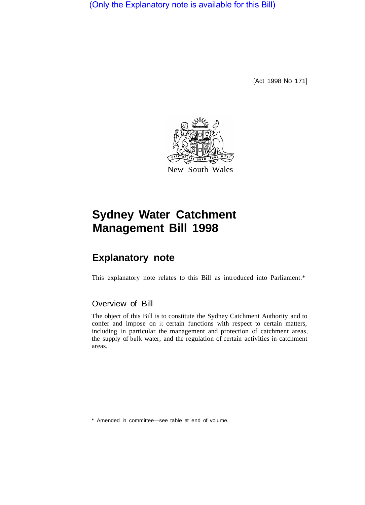(Only the Explanatory note is available for this Bill)

[Act 1998 No 171]



# **Sydney Water Catchment Management Bill 1998**

# **Explanatory note**

This explanatory note relates to this Bill as introduced into Parliament.\*

# Overview of Bill

The object of this Bill is to constitute the Sydney Catchment Authority and to confer and impose on it certain functions with respect to certain matters, including in particular the management and protection of catchment areas, the supply of bulk water, and the regulation of certain activities in catchment areas.

<sup>\*</sup> Amended in committee—see table at end of volume.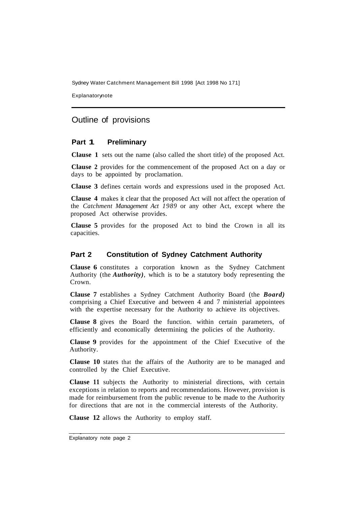Explanatorynote

# Outline of provisions

# **Part 1 Preliminary**

**Clause 1** sets out the name (also called the short title) of the proposed Act.

**Clause 2** provides for the commencement of the proposed Act on a day or days to be appointed by proclamation.

**Clause 3** defines certain words and expressions used in the proposed Act.

**Clause 4** makes it clear that the proposed Act will not affect the operation of the *Catchment Management Act 1989* or any other Act, except where the proposed Act otherwise provides.

**Clause 5** provides for the proposed Act to bind the Crown in all its capacities.

#### **Part 2 Constitution of Sydney Catchment Authority**

**Clause 6** constitutes a corporation known as the Sydney Catchment Authority (the *Authority)*, which is to be a statutory body representing the Crown.

**Clause 7** establishes a Sydney Catchment Authority Board (the *Board)*  comprising a Chief Executive and between 4 and 7 ministerial appointees with the expertise necessary for the Authority to achieve its objectives.

**Clause 8** gives the Board the function. within certain parameters, of efficiently and economically determining the policies of the Authority.

**Clause 9** provides for the appointment of the Chief Executive of the Authority.

**Clause 10** states that the affairs of the Authority are to be managed and controlled by the Chief Executive.

**Clause 11** subjects the Authority to ministerial directions, with certain exceptions in relation to reports and recommendations. However, provision is made for reimbursement from the public revenue to be made to the Authority for directions that are not in the commercial interests of the Authority.

**Clause 12** allows the Authority to employ staff.

Explanatory note page 2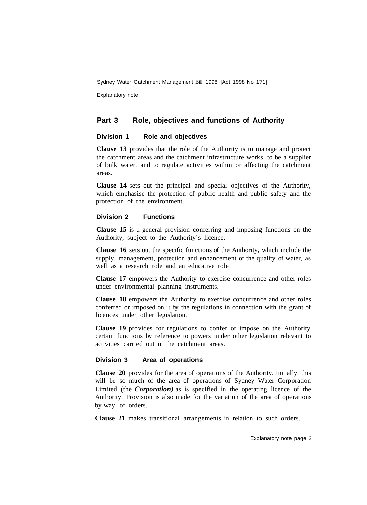Explanatory note

# **Part 3 Role, objectives and functions of Authority**

# **Division 1 Role and objectives**

**Clause 13** provides that the role of the Authority is to manage and protect the catchment areas and the catchment infrastructure works, to be a supplier of bulk water. and to regulate activities within or affecting the catchment areas.

**Clause 14** sets out the principal and special objectives of the Authority, which emphasise the protection of public health and public safety and the protection of the environment.

# **Division 2 Functions**

**Clause 15** is a general provision conferring and imposing functions on the Authority, subject to the Authority's licence.

**Clause 16** sets out the specific functions of the Authority, which include the supply, management, protection and enhancement of the quality of water, as well as a research role and an educative role.

**Clause 17** empowers the Authority to exercise concurrence and other roles under environmental planning instruments.

**Clause 18** empowers the Authority to exercise concurrence and other roles conferred or imposed on it by the regulations in connection with the grant of licences under other legislation.

**Clause 19** provides for regulations to confer or impose on the Authority certain functions by reference to powers under other legislation relevant to activities carried out in the catchment areas.

# **Division 3 Area of operations**

**Clause 20** provides for the area of operations of the Authority. Initially. this will be so much of the area of operations of Sydney Water Corporation Limited (the *Corporation)* as is specified in the operating licence of the Authority. Provision is also made for the variation of the area of operations by way of orders.

**Clause 21** makes transitional arrangements in relation to such orders.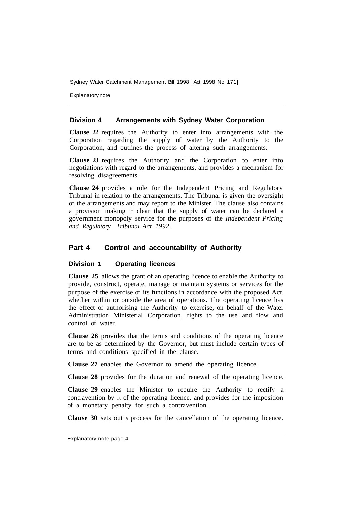Explanatory note

# **Division 4 Arrangements with Sydney Water Corporation**

**Clause 22** requires the Authority to enter into arrangements with the Corporation regarding the supply of water by the Authority to the Corporation, and outlines the process of altering such arrangements.

**Clause 23** requires the Authority and the Corporation to enter into negotiations with regard to the arrangements, and provides a mechanism for resolving disagreements.

**Clause 24** provides a role for the Independent Pricing and Regulatory Tribunal in relation to the arrangements. The Tribunal is given the oversight of the arrangements and may report to the Minister. The clause also contains a provision making it clear that the supply of water can be declared a government monopoly service for the purposes of the *Independent Pricing and Regulatory Tribunal Act 1992.* 

# **Part 4 Control and accountability of Authority**

# **Division 1 Operating licences**

**Clause 25** allows the grant of an operating licence to enable the Authority to provide, construct, operate, manage or maintain systems or services for the purpose of the exercise of its functions in accordance with the proposed Act, whether within or outside the area of operations. The operating licence has the effect of authorising the Authority to exercise, on behalf of the Water Administration Ministerial Corporation, rights to the use and flow and control of water.

**Clause 26** provides that the terms and conditions of the operating licence are to be as determined by the Governor, but must include certain types of terms and conditions specified in the clause.

**Clause 27** enables the Governor to amend the operating licence.

**Clause 28** provides for the duration and renewal of the operating licence.

**Clause 29** enables the Minister to require the Authority to rectify a contravention by it of the operating licence, and provides for the imposition of a monetary penalty for such a contravention.

**Clause 30** sets out a process for the cancellation of the operating licence.

Explanatory note page 4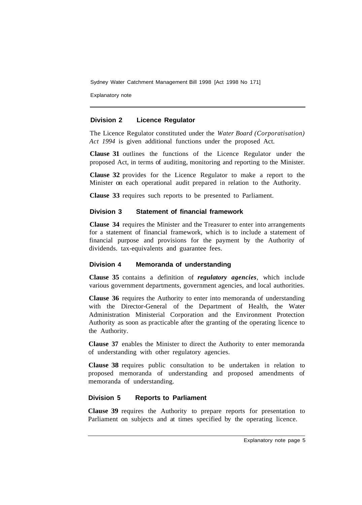Explanatory note

# **Division 2 Licence Regulator**

The Licence Regulator constituted under the *Water Board (Corporatisation) Act 1994* is given additional functions under the proposed Act.

**Clause 31** outlines the functions of the Licence Regulator under the proposed Act, in terms of auditing, monitoring and reporting to the Minister.

**Clause 32** provides for the Licence Regulator to make a report to the Minister on each operational audit prepared in relation to the Authority.

**Clause 33** requires such reports to be presented to Parliament.

# **Division 3 Statement of financial framework**

**Clause 34** requires the Minister and the Treasurer to enter into arrangements for a statement of financial framework, which is to include a statement of financial purpose and provisions for the payment by the Authority of dividends. tax-equivalents and guarantee fees.

# **Division 4 Memoranda of understanding**

**Clause 35** contains a definition of *regulatory agencies*, which include various government departments, government agencies, and local authorities.

**Clause 36** requires the Authority to enter into memoranda of understanding with the Director-General of the Department of Health, the Water Administration Ministerial Corporation and the Environment Protection Authority as soon as practicable after the granting of the operating licence to the Authority.

**Clause 37** enables the Minister to direct the Authority to enter memoranda of understanding with other regulatory agencies.

**Clause 38** requires public consultation to be undertaken in relation to proposed memoranda of understanding and proposed amendments of memoranda of understanding.

# **Division 5 Reports to Parliament**

**Clause 39** requires the Authority to prepare reports for presentation to Parliament on subjects and at times specified by the operating licence.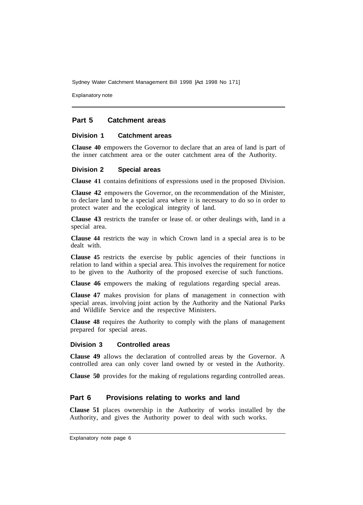Explanatory note

# **Part 5 Catchment areas**

#### **Division 1 Catchment areas**

**Clause 40** empowers the Governor to declare that an area of land is part of the inner catchment area or the outer catchment area of the Authority.

#### **Division 2 Special areas**

**Clause 41** contains definitions of expressions used in the proposed Division.

**Clause 42** empowers the Governor, on the recommendation of the Minister, to declare land to be a special area where it is necessary to do so in order to protect water and the ecological integrity of land.

**Clause 43** restricts the transfer or lease of. or other dealings with, Iand in a special area.

**Clause 44** restricts the way in which Crown land in a special area is to be dealt with.

**Clause 45** restricts the exercise by public agencies of their functions in relation to land within a special area. This involves the requirement for notice to be given to the Authority of the proposed exercise of such functions.

**Clause 46** empowers the making of regulations regarding special areas.

**Clause 47** makes provision for plans of management in connection with special areas. involving joint action by the Authority and the National Parks and Wildlife Service and the respective Ministers.

**Clause 48** requires the Authority to comply with the plans of management prepared for special areas.

#### **Division 3 Controlled areas**

**Clause 49** allows the declaration of controlled areas by the Governor. A controlled area can only cover land owned by or vested in the Authority.

**Clause 50** provides for the making of regulations regarding controlled areas.

# **Part 6 Provisions relating to works and land**

**Clause 51** places ownership in the Authority of works installed by the Authority, and gives the Authority power to deal with such works.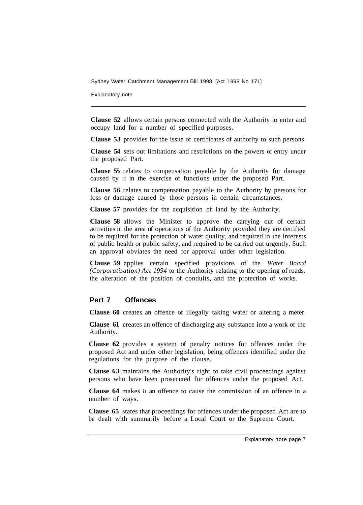Explanatory note

**Clause 52** allows certain persons connected with the Authority to enter and occupy land for a number of specified purposes.

**Clause 53** provides for the issue of certificates of authority to such persons.

**Clause 54** sets out limitations and restrictions on the powers of entry under the proposed Part.

**Clause 55** relates to compensation payable by the Authority for damage caused by it in the exercise of functions under the proposed Part.

**Clause 56** relates to compensation payable to the Authority by persons for loss or damage caused by those persons in certain circumstances.

**Clause 57** provides for the acquisition of land by the Authority.

**Clause 58** allows the Minister to approve the carrying out of certain activities in the area of operations of the Authority provided they are certified to be required for the protection of water quality, and required in the interests of public health or public safety, and required to be carried out urgently. Such an approval obviates the need for approval under other legislation.

**Clause 59** applies certain specified provisions of the *Water Board (Corporatisation) Act 1994* to the Authority relating to the opening of roads. the alteration of the position of conduits, and the protection of works.

#### **Part 7 Offences**

**Clause 60** creates an offence of illegally taking water or altering a meter.

**Clause 61** creates an offence of discharging any substance into a work of the Authority.

**Clause 62** provides a system of penalty notices for offences under the proposed Act and under other legislation, being offences identified under the regulations for the purpose of the clause.

**Clause 63** maintains the Authority's right to take civil proceedings against persons who have been prosecuted for offences under the proposed Act.

**Clause 64** makes it an offence to cause the commission of an offence in a number of ways.

**Clause 65** states that proceedings for offences under the proposed Act are to be dealt with summarily before a Local Court or the Supreme Court.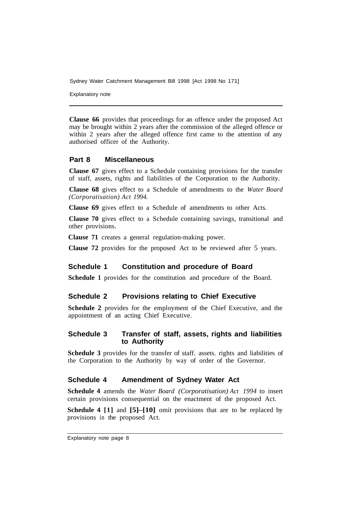Explanatory note

**Clause 66** provides that proceedings for an offence under the proposed Act may be brought within 2 years after the commission of the alleged offence or within 2 years after the alleged offence first came to the attention of any authorised officer of the Authority.

# **Part 8 Miscellaneous**

**Clause 67** gives effect to a Schedule containing provisions for the transfer of staff, assets, rights and liabilities of the Corporation to the Authority.

**Clause 68** gives effect to a Schedule of amendments to the *Water Board (Corporatisation) Act 1994.* 

**Clause 69** gives effect to a Schedule of amendments to other Acts.

**Clause 70** gives effect to a Schedule containing savings, transitional and other provisions.

**Clause 71** creates a general regulation-making power.

**Clause 72** provides for the proposed Act to be reviewed after 5 years.

# **Schedule 1 Constitution and procedure of Board**

**Schedule 1** provides for the constitution and procedure of the Board.

# **Schedule 2 Provisions relating to Chief Executive**

**Schedule 2** provides for the employment of the Chief Executive, and the appointment of an acting Chief Executive.

# **Schedule 3 Transfer of staff, assets, rights and liabilities to Authority**

**Schedule 3** provides for the transfer of staff. assets. rights and liabilities of the Corporation to the Authority by way of order of the Governor.

# **Schedule 4 Amendment of Sydney Water Act**

**Schedule 4** amends the *Water Board (Corporatisation) Act 1994* to insert certain provisions consequential on the enactment of the proposed Act.

**Schedule 4 [1]** and **[5]–[10]** omit provisions that are to be replaced by provisions in the proposed Act.